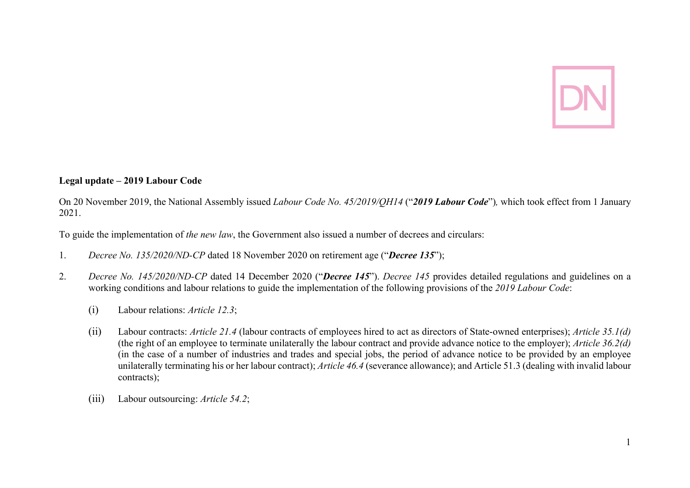

## **Legal update – 2019 Labour Code**

On 20 November 2019, the National Assembly issued *Labour Code No. 45/2019/QH14* ("*2019 Labour Code*")*,* which took effect from 1 January 2021.

To guide the implementation of *the new law*, the Government also issued a number of decrees and circulars:

- 1. *Decree No. 135/2020/ND-CP* dated 18 November 2020 on retirement age ("*Decree 135*");
- 2. *Decree No. 145/2020/ND-CP* dated 14 December 2020 ("*Decree 145*"). *Decree 145* provides detailed regulations and guidelines on a working conditions and labour relations to guide the implementation of the following provisions of the *2019 Labour Code*:
	- (i) Labour relations: *Article 12.3*;
	- (ii) Labour contracts: *Article 21.4* (labour contracts of employees hired to act as directors of State-owned enterprises); *Article 35.1(d)* (the right of an employee to terminate unilaterally the labour contract and provide advance notice to the employer); *Article 36.2(d)* (in the case of a number of industries and trades and special jobs, the period of advance notice to be provided by an employee unilaterally terminating his or her labour contract); *Article 46.4* (severance allowance); and Article 51.3 (dealing with invalid labour contracts);
	- (iii) Labour outsourcing: *Article 54.2*;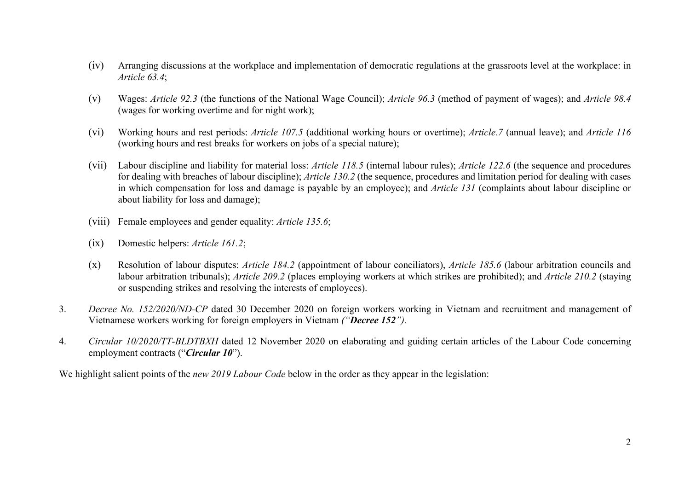- (iv) Arranging discussions at the workplace and implementation of democratic regulations at the grassroots level at the workplace: in *Article 63.4*;
- (v) Wages: *Article 92.3* (the functions of the National Wage Council); *Article 96.3* (method of payment of wages); and *Article 98.4* (wages for working overtime and for night work);
- (vi) Working hours and rest periods: *Article 107.5* (additional working hours or overtime); *Article.7* (annual leave); and *Article 116* (working hours and rest breaks for workers on jobs of a special nature);
- (vii) Labour discipline and liability for material loss: *Article 118.5* (internal labour rules); *Article 122.6* (the sequence and procedures for dealing with breaches of labour discipline); *Article 130.2* (the sequence, procedures and limitation period for dealing with cases in which compensation for loss and damage is payable by an employee); and *Article 131* (complaints about labour discipline or about liability for loss and damage);
- (viii) Female employees and gender equality: *Article 135.6*;
- (ix) Domestic helpers: *Article 161.2*;
- (x) Resolution of labour disputes: *Article 184.2* (appointment of labour conciliators), *Article 185.6* (labour arbitration councils and labour arbitration tribunals); *Article 209.2* (places employing workers at which strikes are prohibited); and *Article 210.2* (staying or suspending strikes and resolving the interests of employees).
- 3. *Decree No. 152/2020/ND-CP* dated 30 December 2020 on foreign workers working in Vietnam and recruitment and management of Vietnamese workers working for foreign employers in Vietnam *("Decree 152").*
- 4. *Circular 10/2020/TT-BLDTBXH* dated 12 November 2020 on elaborating and guiding certain articles of the Labour Code concerning employment contracts ("*Circular 10*").

We highlight salient points of the *new 2019 Labour Code* below in the order as they appear in the legislation: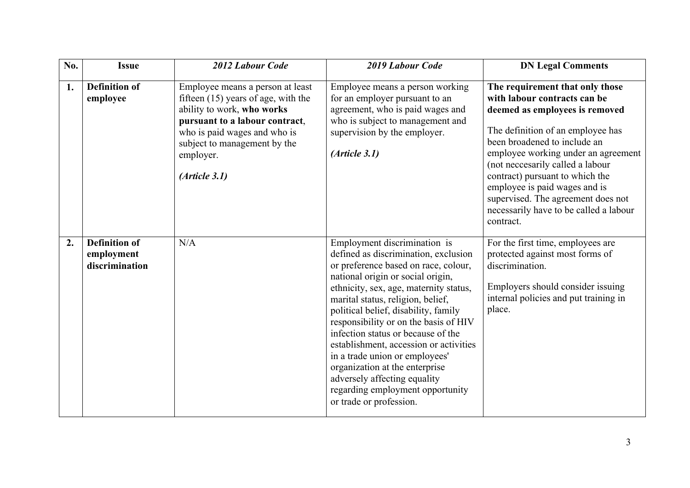| No. | <b>Issue</b>                                         | 2012 Labour Code                                                                                                                                                                                                                         | 2019 Labour Code                                                                                                                                                                                                                                                                                                                                                                                                                                                                                                                                                     | <b>DN Legal Comments</b>                                                                                                                                                                                                                                                                                                                                                                                           |
|-----|------------------------------------------------------|------------------------------------------------------------------------------------------------------------------------------------------------------------------------------------------------------------------------------------------|----------------------------------------------------------------------------------------------------------------------------------------------------------------------------------------------------------------------------------------------------------------------------------------------------------------------------------------------------------------------------------------------------------------------------------------------------------------------------------------------------------------------------------------------------------------------|--------------------------------------------------------------------------------------------------------------------------------------------------------------------------------------------------------------------------------------------------------------------------------------------------------------------------------------------------------------------------------------------------------------------|
| 1.  | <b>Definition of</b><br>employee                     | Employee means a person at least<br>fifteen $(15)$ years of age, with the<br>ability to work, who works<br>pursuant to a labour contract,<br>who is paid wages and who is<br>subject to management by the<br>employer.<br>(Ariticle 3.1) | Employee means a person working<br>for an employer pursuant to an<br>agreement, who is paid wages and<br>who is subject to management and<br>supervision by the employer.<br>(Ariticle 3.1)                                                                                                                                                                                                                                                                                                                                                                          | The requirement that only those<br>with labour contracts can be<br>deemed as employees is removed<br>The definition of an employee has<br>been broadened to include an<br>employee working under an agreement<br>(not neccesarily called a labour<br>contract) pursuant to which the<br>employee is paid wages and is<br>supervised. The agreement does not<br>necessarily have to be called a labour<br>contract. |
| 2.  | <b>Definition of</b><br>employment<br>discrimination | N/A                                                                                                                                                                                                                                      | Employment discrimination is<br>defined as discrimination, exclusion<br>or preference based on race, colour,<br>national origin or social origin,<br>ethnicity, sex, age, maternity status,<br>marital status, religion, belief,<br>political belief, disability, family<br>responsibility or on the basis of HIV<br>infection status or because of the<br>establishment, accession or activities<br>in a trade union or employees'<br>organization at the enterprise<br>adversely affecting equality<br>regarding employment opportunity<br>or trade or profession. | For the first time, employees are<br>protected against most forms of<br>discrimination.<br>Employers should consider issuing<br>internal policies and put training in<br>place.                                                                                                                                                                                                                                    |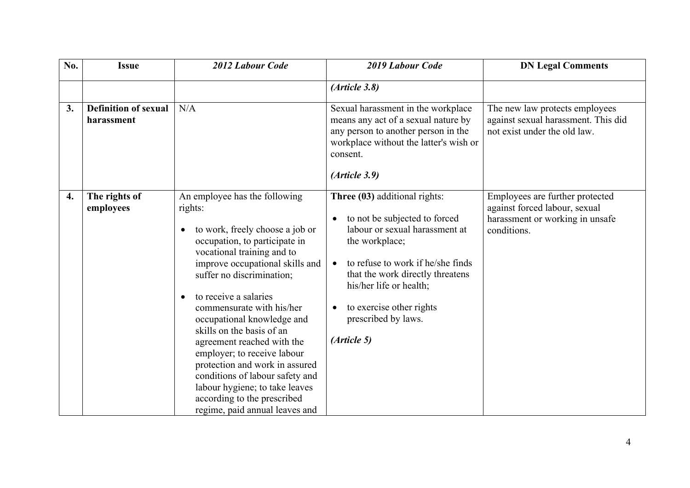| No.                | <b>Issue</b>                              | 2012 Labour Code                                                                                                                                                                                                                                                                                                                                                                                                                                                                                                                                                                           | 2019 Labour Code                                                                                                                                                                                                                                                                         | <b>DN Legal Comments</b>                                                                                           |
|--------------------|-------------------------------------------|--------------------------------------------------------------------------------------------------------------------------------------------------------------------------------------------------------------------------------------------------------------------------------------------------------------------------------------------------------------------------------------------------------------------------------------------------------------------------------------------------------------------------------------------------------------------------------------------|------------------------------------------------------------------------------------------------------------------------------------------------------------------------------------------------------------------------------------------------------------------------------------------|--------------------------------------------------------------------------------------------------------------------|
|                    |                                           |                                                                                                                                                                                                                                                                                                                                                                                                                                                                                                                                                                                            | (Ariticle 3.8)                                                                                                                                                                                                                                                                           |                                                                                                                    |
| 3.                 | <b>Definition of sexual</b><br>harassment | N/A                                                                                                                                                                                                                                                                                                                                                                                                                                                                                                                                                                                        | Sexual harassment in the workplace<br>means any act of a sexual nature by<br>any person to another person in the<br>workplace without the latter's wish or<br>consent.<br>(Ariticle 3.9)                                                                                                 | The new law protects employees<br>against sexual harassment. This did<br>not exist under the old law.              |
| $\boldsymbol{4}$ . | The rights of<br>employees                | An employee has the following<br>rights:<br>to work, freely choose a job or<br>$\bullet$<br>occupation, to participate in<br>vocational training and to<br>improve occupational skills and<br>suffer no discrimination;<br>to receive a salaries<br>$\bullet$<br>commensurate with his/her<br>occupational knowledge and<br>skills on the basis of an<br>agreement reached with the<br>employer; to receive labour<br>protection and work in assured<br>conditions of labour safety and<br>labour hygiene; to take leaves<br>according to the prescribed<br>regime, paid annual leaves and | Three (03) additional rights:<br>to not be subjected to forced<br>labour or sexual harassment at<br>the workplace;<br>to refuse to work if he/she finds<br>that the work directly threatens<br>his/her life or health;<br>to exercise other rights<br>prescribed by laws.<br>(Article 5) | Employees are further protected<br>against forced labour, sexual<br>harassment or working in unsafe<br>conditions. |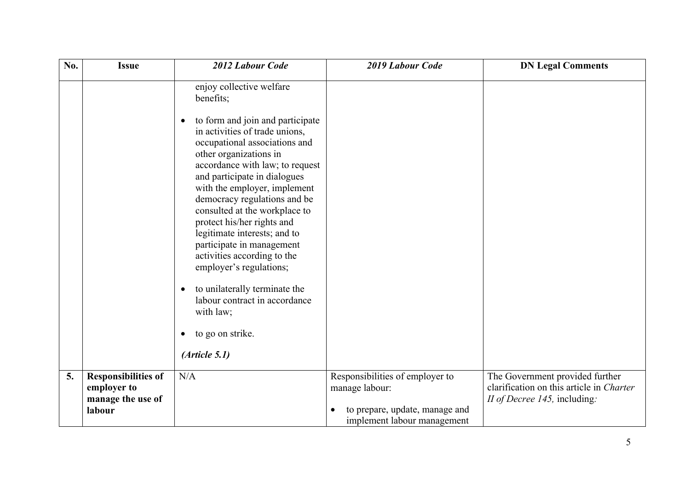| No. | <b>Issue</b>                                                             | 2012 Labour Code                                                                                                                                                                                                                                                                                                                                                                                                                                                                                                                                                                                                                                            | 2019 Labour Code                                                                                                   | <b>DN Legal Comments</b>                                                                                    |
|-----|--------------------------------------------------------------------------|-------------------------------------------------------------------------------------------------------------------------------------------------------------------------------------------------------------------------------------------------------------------------------------------------------------------------------------------------------------------------------------------------------------------------------------------------------------------------------------------------------------------------------------------------------------------------------------------------------------------------------------------------------------|--------------------------------------------------------------------------------------------------------------------|-------------------------------------------------------------------------------------------------------------|
|     |                                                                          | enjoy collective welfare<br>benefits;<br>to form and join and participate<br>$\bullet$<br>in activities of trade unions,<br>occupational associations and<br>other organizations in<br>accordance with law; to request<br>and participate in dialogues<br>with the employer, implement<br>democracy regulations and be<br>consulted at the workplace to<br>protect his/her rights and<br>legitimate interests; and to<br>participate in management<br>activities according to the<br>employer's regulations;<br>to unilaterally terminate the<br>$\bullet$<br>labour contract in accordance<br>with law;<br>to go on strike.<br>$\bullet$<br>(Ariticle 5.1) |                                                                                                                    |                                                                                                             |
| 5.  | <b>Responsibilities of</b><br>employer to<br>manage the use of<br>labour | N/A                                                                                                                                                                                                                                                                                                                                                                                                                                                                                                                                                                                                                                                         | Responsibilities of employer to<br>manage labour:<br>to prepare, update, manage and<br>implement labour management | The Government provided further<br>clarification on this article in Charter<br>II of Decree 145, including: |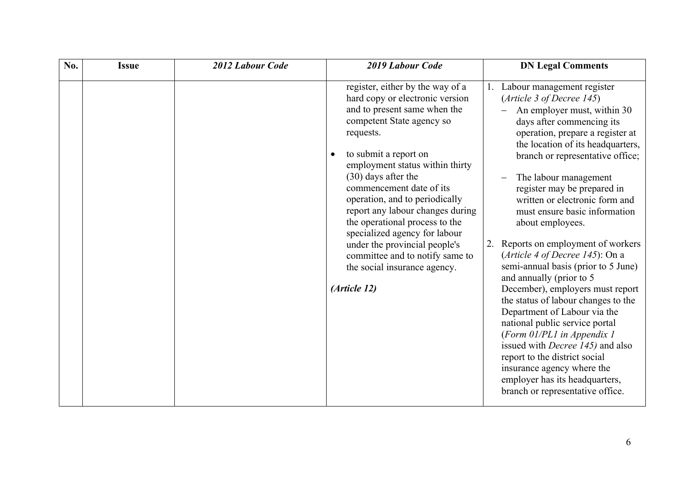| No. | <b>2012 Labour Code</b><br><b>Issue</b> | 2019 Labour Code                                                                                                                                                                                                                                                                                                                                                                                                                                                                                                            | <b>DN Legal Comments</b>                                                                                                                                                                                                                                                                                                                                                                                                                                                                                                                                                                                                                                                                                                                                                                                                                                                                    |
|-----|-----------------------------------------|-----------------------------------------------------------------------------------------------------------------------------------------------------------------------------------------------------------------------------------------------------------------------------------------------------------------------------------------------------------------------------------------------------------------------------------------------------------------------------------------------------------------------------|---------------------------------------------------------------------------------------------------------------------------------------------------------------------------------------------------------------------------------------------------------------------------------------------------------------------------------------------------------------------------------------------------------------------------------------------------------------------------------------------------------------------------------------------------------------------------------------------------------------------------------------------------------------------------------------------------------------------------------------------------------------------------------------------------------------------------------------------------------------------------------------------|
|     |                                         | register, either by the way of a<br>hard copy or electronic version<br>and to present same when the<br>competent State agency so<br>requests.<br>to submit a report on<br>employment status within thirty<br>$(30)$ days after the<br>commencement date of its<br>operation, and to periodically<br>report any labour changes during<br>the operational process to the<br>specialized agency for labour<br>under the provincial people's<br>committee and to notify same to<br>the social insurance agency.<br>(Article 12) | Labour management register<br>(Article 3 of Decree 145)<br>An employer must, within 30<br>days after commencing its<br>operation, prepare a register at<br>the location of its headquarters,<br>branch or representative office;<br>The labour management<br>register may be prepared in<br>written or electronic form and<br>must ensure basic information<br>about employees.<br>Reports on employment of workers<br>2.<br>(Article 4 of Decree 145): On a<br>semi-annual basis (prior to 5 June)<br>and annually (prior to 5<br>December), employers must report<br>the status of labour changes to the<br>Department of Labour via the<br>national public service portal<br>(Form 01/PL1 in Appendix 1<br>issued with <i>Decree 145</i> ) and also<br>report to the district social<br>insurance agency where the<br>employer has its headquarters,<br>branch or representative office. |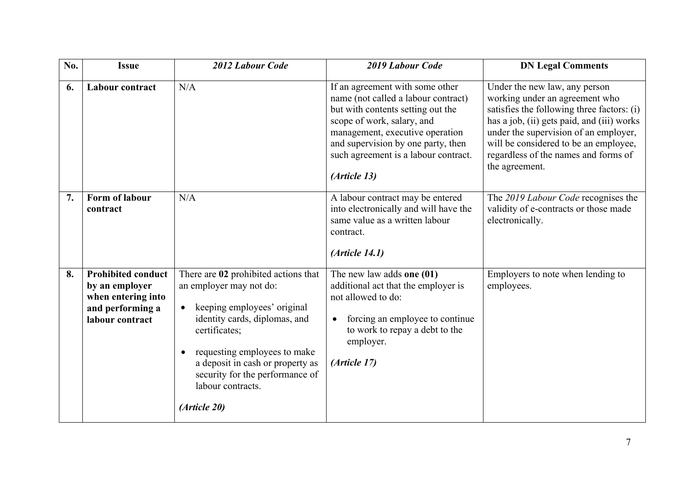| No. | <b>Issue</b>                                                                                             | 2012 Labour Code                                                                                                                                                                                                                                                                                          | 2019 Labour Code                                                                                                                                                                                                                                                           | <b>DN Legal Comments</b>                                                                                                                                                                                                                                                                                |
|-----|----------------------------------------------------------------------------------------------------------|-----------------------------------------------------------------------------------------------------------------------------------------------------------------------------------------------------------------------------------------------------------------------------------------------------------|----------------------------------------------------------------------------------------------------------------------------------------------------------------------------------------------------------------------------------------------------------------------------|---------------------------------------------------------------------------------------------------------------------------------------------------------------------------------------------------------------------------------------------------------------------------------------------------------|
| 6.  | <b>Labour contract</b>                                                                                   | N/A                                                                                                                                                                                                                                                                                                       | If an agreement with some other<br>name (not called a labour contract)<br>but with contents setting out the<br>scope of work, salary, and<br>management, executive operation<br>and supervision by one party, then<br>such agreement is a labour contract.<br>(Article 13) | Under the new law, any person<br>working under an agreement who<br>satisfies the following three factors: (i)<br>has a job, (ii) gets paid, and (iii) works<br>under the supervision of an employer,<br>will be considered to be an employee,<br>regardless of the names and forms of<br>the agreement. |
| 7.  | Form of labour<br>contract                                                                               | N/A                                                                                                                                                                                                                                                                                                       | A labour contract may be entered<br>into electronically and will have the<br>same value as a written labour<br>contract.<br>(Ariticle 14.1)                                                                                                                                | The 2019 Labour Code recognises the<br>validity of e-contracts or those made<br>electronically.                                                                                                                                                                                                         |
| 8.  | <b>Prohibited conduct</b><br>by an employer<br>when entering into<br>and performing a<br>labour contract | There are 02 prohibited actions that<br>an employer may not do:<br>keeping employees' original<br>identity cards, diplomas, and<br>certificates;<br>requesting employees to make<br>$\bullet$<br>a deposit in cash or property as<br>security for the performance of<br>labour contracts.<br>(Article 20) | The new law adds one $(01)$<br>additional act that the employer is<br>not allowed to do:<br>forcing an employee to continue<br>to work to repay a debt to the<br>employer.<br>(Article 17)                                                                                 | Employers to note when lending to<br>employees.                                                                                                                                                                                                                                                         |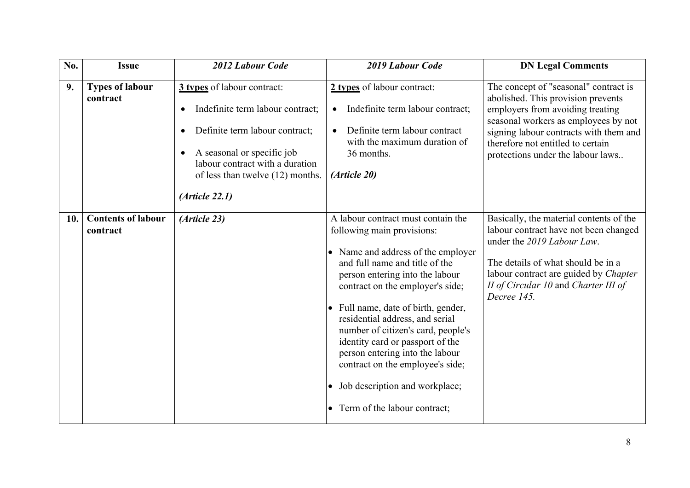| No. | <b>Issue</b>                          | 2012 Labour Code                                                                                                                                                                                                          | 2019 Labour Code                                                                                                                                                                                                                                                                                                                                                                                                                                                                                                        | <b>DN Legal Comments</b>                                                                                                                                                                                                                                                    |
|-----|---------------------------------------|---------------------------------------------------------------------------------------------------------------------------------------------------------------------------------------------------------------------------|-------------------------------------------------------------------------------------------------------------------------------------------------------------------------------------------------------------------------------------------------------------------------------------------------------------------------------------------------------------------------------------------------------------------------------------------------------------------------------------------------------------------------|-----------------------------------------------------------------------------------------------------------------------------------------------------------------------------------------------------------------------------------------------------------------------------|
| 9.  | <b>Types of labour</b><br>contract    | 3 types of labour contract:<br>Indefinite term labour contract;<br>Definite term labour contract;<br>A seasonal or specific job<br>labour contract with a duration<br>of less than twelve (12) months.<br>(Ariticle 22.1) | 2 types of labour contract:<br>Indefinite term labour contract;<br>$\bullet$<br>Definite term labour contract<br>$\bullet$<br>with the maximum duration of<br>36 months.<br>(Article 20)                                                                                                                                                                                                                                                                                                                                | The concept of "seasonal" contract is<br>abolished. This provision prevents<br>employers from avoiding treating<br>seasonal workers as employees by not<br>signing labour contracts with them and<br>therefore not entitled to certain<br>protections under the labour laws |
| 10. | <b>Contents of labour</b><br>contract | (Article 23)                                                                                                                                                                                                              | A labour contract must contain the<br>following main provisions:<br>• Name and address of the employer<br>and full name and title of the<br>person entering into the labour<br>contract on the employer's side;<br>Full name, date of birth, gender,<br>residential address, and serial<br>number of citizen's card, people's<br>identity card or passport of the<br>person entering into the labour<br>contract on the employee's side;<br>Job description and workplace;<br>$\bullet$<br>Term of the labour contract; | Basically, the material contents of the<br>labour contract have not been changed<br>under the 2019 Labour Law.<br>The details of what should be in a<br>labour contract are guided by Chapter<br>II of Circular 10 and Charter III of<br>Decree 145.                        |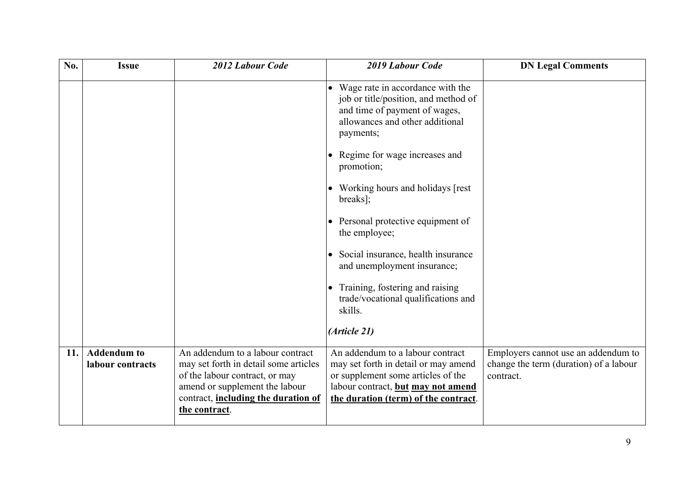| No. | <b>Issue</b>                           | 2012 Labour Code                                                                                                                                                                                              | 2019 Labour Code                                                                                                                                                                             | <b>DN Legal Comments</b>                                                                   |
|-----|----------------------------------------|---------------------------------------------------------------------------------------------------------------------------------------------------------------------------------------------------------------|----------------------------------------------------------------------------------------------------------------------------------------------------------------------------------------------|--------------------------------------------------------------------------------------------|
|     |                                        |                                                                                                                                                                                                               | Wage rate in accordance with the<br>job or title/position, and method of<br>and time of payment of wages,<br>allowances and other additional<br>payments;                                    |                                                                                            |
|     |                                        |                                                                                                                                                                                                               | Regime for wage increases and<br>promotion;                                                                                                                                                  |                                                                                            |
|     |                                        |                                                                                                                                                                                                               | Working hours and holidays [rest]<br>breaks];                                                                                                                                                |                                                                                            |
|     |                                        |                                                                                                                                                                                                               | Personal protective equipment of<br>$\bullet$<br>the employee;                                                                                                                               |                                                                                            |
|     |                                        |                                                                                                                                                                                                               | Social insurance, health insurance<br>$\bullet$<br>and unemployment insurance;                                                                                                               |                                                                                            |
|     |                                        |                                                                                                                                                                                                               | Training, fostering and raising<br>trade/vocational qualifications and<br>skills.                                                                                                            |                                                                                            |
|     |                                        |                                                                                                                                                                                                               | (Article 21)                                                                                                                                                                                 |                                                                                            |
| 11. | <b>Addendum</b> to<br>labour contracts | An addendum to a labour contract<br>may set forth in detail some articles<br>of the labour contract, or may<br>amend or supplement the labour<br>contract, including the duration of<br><u>the contract</u> . | An addendum to a labour contract<br>may set forth in detail or may amend<br>or supplement some articles of the<br>labour contract, but may not amend<br>the duration (term) of the contract. | Employers cannot use an addendum to<br>change the term (duration) of a labour<br>contract. |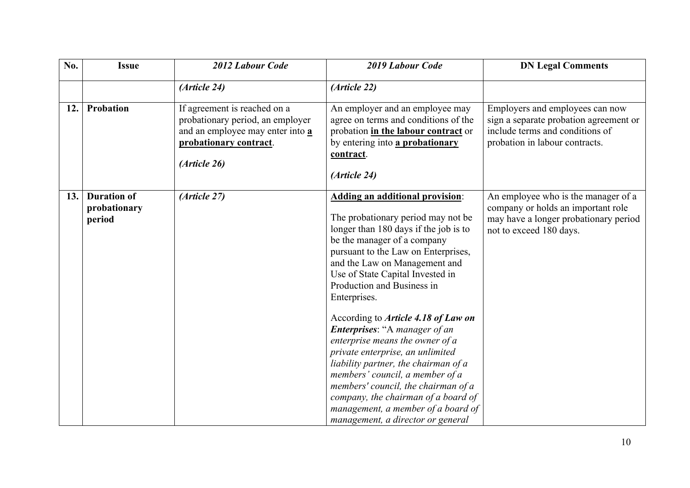| No. | <b>Issue</b>                                 | 2012 Labour Code                                                                                                                               | 2019 Labour Code                                                                                                                                                                                                                                                                                                                                                                                                                                                                                                                                                                                                                                                                                         | <b>DN Legal Comments</b>                                                                                                                       |
|-----|----------------------------------------------|------------------------------------------------------------------------------------------------------------------------------------------------|----------------------------------------------------------------------------------------------------------------------------------------------------------------------------------------------------------------------------------------------------------------------------------------------------------------------------------------------------------------------------------------------------------------------------------------------------------------------------------------------------------------------------------------------------------------------------------------------------------------------------------------------------------------------------------------------------------|------------------------------------------------------------------------------------------------------------------------------------------------|
|     |                                              | (Article 24)                                                                                                                                   | (Article 22)                                                                                                                                                                                                                                                                                                                                                                                                                                                                                                                                                                                                                                                                                             |                                                                                                                                                |
| 12. | Probation                                    | If agreement is reached on a<br>probationary period, an employer<br>and an employee may enter into a<br>probationary contract.<br>(Article 26) | An employer and an employee may<br>agree on terms and conditions of the<br>probation in the labour contract or<br>by entering into a probationary<br>contract.<br>(Article 24)                                                                                                                                                                                                                                                                                                                                                                                                                                                                                                                           | Employers and employees can now<br>sign a separate probation agreement or<br>include terms and conditions of<br>probation in labour contracts. |
| 13. | <b>Duration of</b><br>probationary<br>period | (Article 27)                                                                                                                                   | <b>Adding an additional provision:</b><br>The probationary period may not be<br>longer than 180 days if the job is to<br>be the manager of a company<br>pursuant to the Law on Enterprises,<br>and the Law on Management and<br>Use of State Capital Invested in<br>Production and Business in<br>Enterprises.<br>According to <i>Article 4.18 of Law on</i><br>Enterprises: "A manager of an<br>enterprise means the owner of a<br>private enterprise, an unlimited<br>liability partner, the chairman of a<br>members' council, a member of a<br>members' council, the chairman of a<br>company, the chairman of a board of<br>management, a member of a board of<br>management, a director or general | An employee who is the manager of a<br>company or holds an important role<br>may have a longer probationary period<br>not to exceed 180 days.  |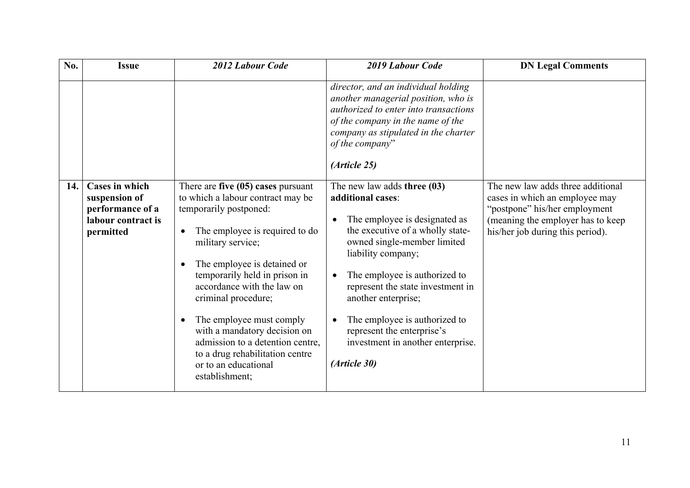| No. | <b>Issue</b>                                                                                  | 2012 Labour Code                                                                                                                                                                                                                                                                                                                                                                                                                                                                                    | <b>2019 Labour Code</b>                                                                                                                                                                                                                                                                                                                                                                       | <b>DN Legal Comments</b>                                                                                                                                                      |
|-----|-----------------------------------------------------------------------------------------------|-----------------------------------------------------------------------------------------------------------------------------------------------------------------------------------------------------------------------------------------------------------------------------------------------------------------------------------------------------------------------------------------------------------------------------------------------------------------------------------------------------|-----------------------------------------------------------------------------------------------------------------------------------------------------------------------------------------------------------------------------------------------------------------------------------------------------------------------------------------------------------------------------------------------|-------------------------------------------------------------------------------------------------------------------------------------------------------------------------------|
|     |                                                                                               |                                                                                                                                                                                                                                                                                                                                                                                                                                                                                                     | director, and an individual holding<br>another managerial position, who is<br>authorized to enter into transactions<br>of the company in the name of the<br>company as stipulated in the charter<br>of the company"<br>(Article 25)                                                                                                                                                           |                                                                                                                                                                               |
| 14. | <b>Cases in which</b><br>suspension of<br>performance of a<br>labour contract is<br>permitted | There are five $(05)$ cases pursuant<br>to which a labour contract may be<br>temporarily postponed:<br>The employee is required to do<br>$\bullet$<br>military service;<br>The employee is detained or<br>$\bullet$<br>temporarily held in prison in<br>accordance with the law on<br>criminal procedure;<br>The employee must comply<br>$\bullet$<br>with a mandatory decision on<br>admission to a detention centre,<br>to a drug rehabilitation centre<br>or to an educational<br>establishment; | The new law adds three $(03)$<br>additional cases:<br>The employee is designated as<br>the executive of a wholly state-<br>owned single-member limited<br>liability company;<br>The employee is authorized to<br>represent the state investment in<br>another enterprise;<br>The employee is authorized to<br>represent the enterprise's<br>investment in another enterprise.<br>(Article 30) | The new law adds three additional<br>cases in which an employee may<br>"postpone" his/her employment<br>(meaning the employer has to keep<br>his/her job during this period). |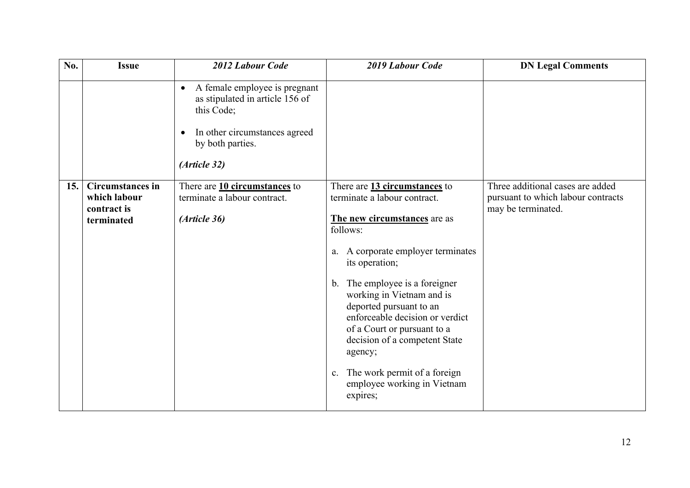| No.  | <b>Issue</b>                                                         | 2012 Labour Code                                                                                                                                                              | 2019 Labour Code                                                                                                                                                                                                                                                                                                                                                                                                                                              | <b>DN Legal Comments</b>                                                                     |
|------|----------------------------------------------------------------------|-------------------------------------------------------------------------------------------------------------------------------------------------------------------------------|---------------------------------------------------------------------------------------------------------------------------------------------------------------------------------------------------------------------------------------------------------------------------------------------------------------------------------------------------------------------------------------------------------------------------------------------------------------|----------------------------------------------------------------------------------------------|
|      |                                                                      | A female employee is pregnant<br>$\bullet$<br>as stipulated in article 156 of<br>this Code;<br>In other circumstances agreed<br>$\bullet$<br>by both parties.<br>(Article 32) |                                                                                                                                                                                                                                                                                                                                                                                                                                                               |                                                                                              |
| 15.1 | <b>Circumstances in</b><br>which labour<br>contract is<br>terminated | There are 10 circumstances to<br>terminate a labour contract.<br>(Article 36)                                                                                                 | There are 13 circumstances to<br>terminate a labour contract.<br>The new circumstances are as<br>follows:<br>A corporate employer terminates<br>a.<br>its operation;<br>b. The employee is a foreigner<br>working in Vietnam and is<br>deported pursuant to an<br>enforceable decision or verdict<br>of a Court or pursuant to a<br>decision of a competent State<br>agency;<br>The work permit of a foreign<br>c.<br>employee working in Vietnam<br>expires; | Three additional cases are added<br>pursuant to which labour contracts<br>may be terminated. |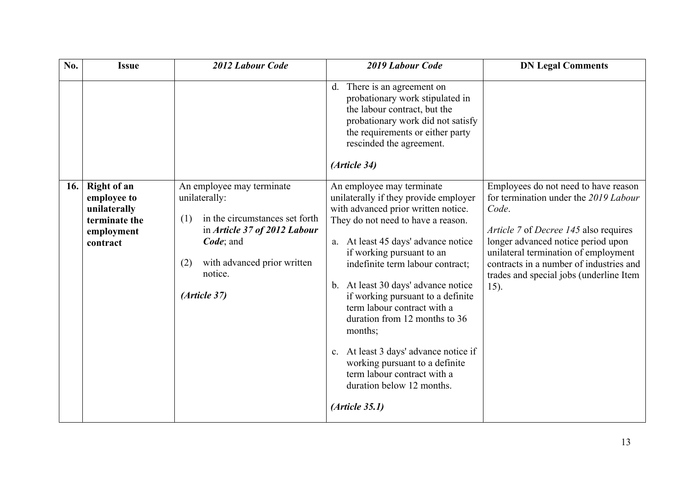| No. | <b>Issue</b>                                                                                 | 2012 Labour Code                                                                                                                                                                                  | 2019 Labour Code                                                                                                                                                                                                                                                                                                                                                                                                                                                                                                                                                           | <b>DN Legal Comments</b>                                                                                                                                                                                                                                                                                    |
|-----|----------------------------------------------------------------------------------------------|---------------------------------------------------------------------------------------------------------------------------------------------------------------------------------------------------|----------------------------------------------------------------------------------------------------------------------------------------------------------------------------------------------------------------------------------------------------------------------------------------------------------------------------------------------------------------------------------------------------------------------------------------------------------------------------------------------------------------------------------------------------------------------------|-------------------------------------------------------------------------------------------------------------------------------------------------------------------------------------------------------------------------------------------------------------------------------------------------------------|
|     |                                                                                              |                                                                                                                                                                                                   | d. There is an agreement on<br>probationary work stipulated in<br>the labour contract, but the<br>probationary work did not satisfy<br>the requirements or either party<br>rescinded the agreement.<br>(Article 34)                                                                                                                                                                                                                                                                                                                                                        |                                                                                                                                                                                                                                                                                                             |
| 16. | <b>Right of an</b><br>employee to<br>unilaterally<br>terminate the<br>employment<br>contract | An employee may terminate<br>unilaterally:<br>in the circumstances set forth<br>(1)<br>in Article 37 of 2012 Labour<br>Code; and<br>with advanced prior written<br>(2)<br>notice.<br>(Article 37) | An employee may terminate<br>unilaterally if they provide employer<br>with advanced prior written notice.<br>They do not need to have a reason.<br>a. At least 45 days' advance notice<br>if working pursuant to an<br>indefinite term labour contract;<br>b. At least 30 days' advance notice<br>if working pursuant to a definite<br>term labour contract with a<br>duration from 12 months to 36<br>months;<br>c. At least 3 days' advance notice if<br>working pursuant to a definite<br>term labour contract with a<br>duration below 12 months.<br>$(A$ rticle 35.1) | Employees do not need to have reason<br>for termination under the 2019 Labour<br>Code.<br>Article 7 of Decree 145 also requires<br>longer advanced notice period upon<br>unilateral termination of employment<br>contracts in a number of industries and<br>trades and special jobs (underline Item<br>15). |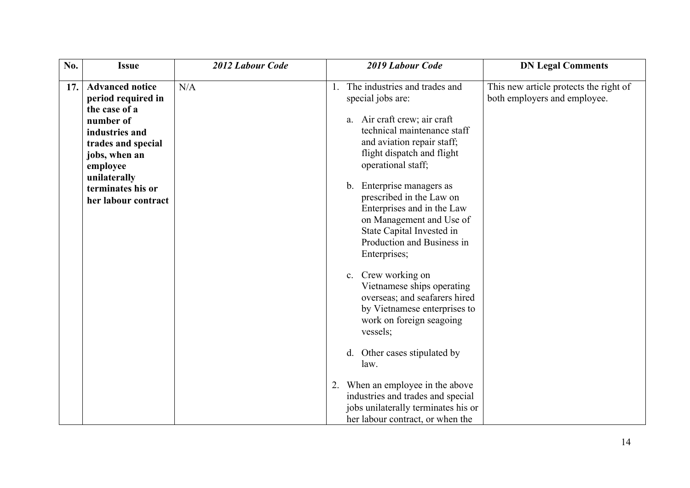| No. | <b>Issue</b>                                                                                                                                                                                                | 2012 Labour Code | 2019 Labour Code                                                                                                                                                                                                                                                                                                                                                                                                                                                                                                                                                                                                                                                                                                                                                 | <b>DN Legal Comments</b>                                               |
|-----|-------------------------------------------------------------------------------------------------------------------------------------------------------------------------------------------------------------|------------------|------------------------------------------------------------------------------------------------------------------------------------------------------------------------------------------------------------------------------------------------------------------------------------------------------------------------------------------------------------------------------------------------------------------------------------------------------------------------------------------------------------------------------------------------------------------------------------------------------------------------------------------------------------------------------------------------------------------------------------------------------------------|------------------------------------------------------------------------|
| 17. | <b>Advanced notice</b><br>period required in<br>the case of a<br>number of<br>industries and<br>trades and special<br>jobs, when an<br>employee<br>unilaterally<br>terminates his or<br>her labour contract | N/A              | The industries and trades and<br>1.<br>special jobs are:<br>a. Air craft crew; air craft<br>technical maintenance staff<br>and aviation repair staff;<br>flight dispatch and flight<br>operational staff;<br>b. Enterprise managers as<br>prescribed in the Law on<br>Enterprises and in the Law<br>on Management and Use of<br>State Capital Invested in<br>Production and Business in<br>Enterprises;<br>c. Crew working on<br>Vietnamese ships operating<br>overseas; and seafarers hired<br>by Vietnamese enterprises to<br>work on foreign seagoing<br>vessels;<br>d. Other cases stipulated by<br>law.<br>2. When an employee in the above<br>industries and trades and special<br>jobs unilaterally terminates his or<br>her labour contract, or when the | This new article protects the right of<br>both employers and employee. |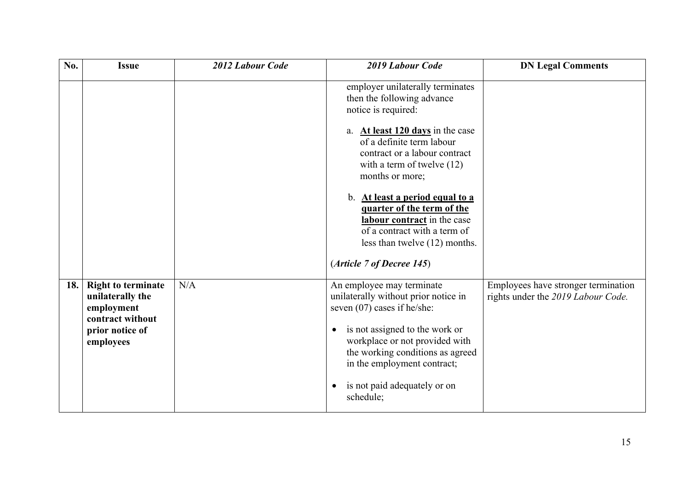| No. | <b>Issue</b>                                                                                                    | 2012 Labour Code | 2019 Labour Code                                                                                                                                                                                                                                                                                                                                                                                                                                   | <b>DN Legal Comments</b>                                                  |
|-----|-----------------------------------------------------------------------------------------------------------------|------------------|----------------------------------------------------------------------------------------------------------------------------------------------------------------------------------------------------------------------------------------------------------------------------------------------------------------------------------------------------------------------------------------------------------------------------------------------------|---------------------------------------------------------------------------|
|     |                                                                                                                 |                  | employer unilaterally terminates<br>then the following advance<br>notice is required:<br>a. At least $120 \text{ days}$ in the case<br>of a definite term labour<br>contract or a labour contract<br>with a term of twelve $(12)$<br>months or more;<br>b. At least a period equal to a<br>quarter of the term of the<br>labour contract in the case<br>of a contract with a term of<br>less than twelve (12) months.<br>(Article 7 of Decree 145) |                                                                           |
| 18. | <b>Right to terminate</b><br>unilaterally the<br>employment<br>contract without<br>prior notice of<br>employees | N/A              | An employee may terminate<br>unilaterally without prior notice in<br>seven $(07)$ cases if he/she:<br>is not assigned to the work or<br>$\bullet$<br>workplace or not provided with<br>the working conditions as agreed<br>in the employment contract;<br>is not paid adequately or on<br>schedule;                                                                                                                                                | Employees have stronger termination<br>rights under the 2019 Labour Code. |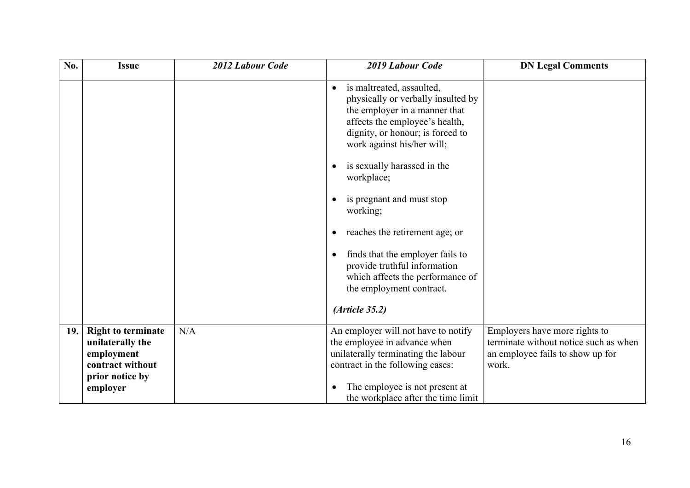| No. | <b>Issue</b>                                                                                                   | 2012 Labour Code | 2019 Labour Code                                                                                                                                                                                                                                                                                                                                                                                                                                                                                                           | <b>DN Legal Comments</b>                                                                                            |
|-----|----------------------------------------------------------------------------------------------------------------|------------------|----------------------------------------------------------------------------------------------------------------------------------------------------------------------------------------------------------------------------------------------------------------------------------------------------------------------------------------------------------------------------------------------------------------------------------------------------------------------------------------------------------------------------|---------------------------------------------------------------------------------------------------------------------|
|     |                                                                                                                |                  | is maltreated, assaulted,<br>$\bullet$<br>physically or verbally insulted by<br>the employer in a manner that<br>affects the employee's health,<br>dignity, or honour; is forced to<br>work against his/her will;<br>is sexually harassed in the<br>workplace;<br>is pregnant and must stop<br>working;<br>reaches the retirement age; or<br>$\bullet$<br>finds that the employer fails to<br>$\bullet$<br>provide truthful information<br>which affects the performance of<br>the employment contract.<br>(Ariticle 35.2) |                                                                                                                     |
|     |                                                                                                                |                  |                                                                                                                                                                                                                                                                                                                                                                                                                                                                                                                            |                                                                                                                     |
| 19. | <b>Right to terminate</b><br>unilaterally the<br>employment<br>contract without<br>prior notice by<br>employer | N/A              | An employer will not have to notify<br>the employee in advance when<br>unilaterally terminating the labour<br>contract in the following cases:<br>The employee is not present at<br>the workplace after the time limit                                                                                                                                                                                                                                                                                                     | Employers have more rights to<br>terminate without notice such as when<br>an employee fails to show up for<br>work. |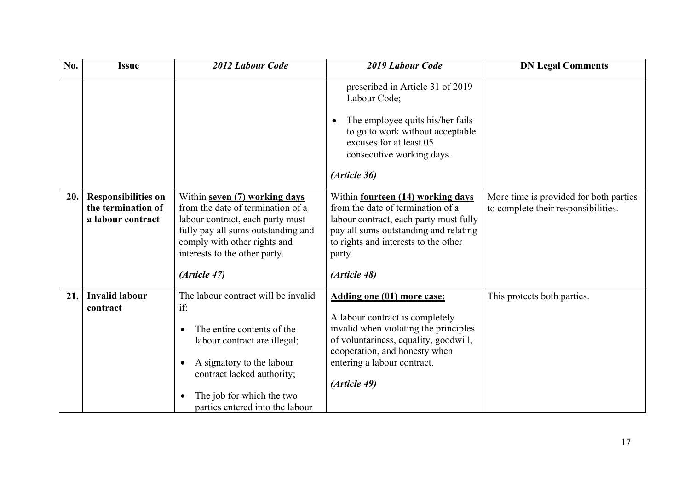| No. | <b>Issue</b>                                                          | 2012 Labour Code                                                                                                                                                                                                                    | 2019 Labour Code                                                                                                                                                                                                                       | <b>DN Legal Comments</b>                                                      |
|-----|-----------------------------------------------------------------------|-------------------------------------------------------------------------------------------------------------------------------------------------------------------------------------------------------------------------------------|----------------------------------------------------------------------------------------------------------------------------------------------------------------------------------------------------------------------------------------|-------------------------------------------------------------------------------|
|     |                                                                       |                                                                                                                                                                                                                                     | prescribed in Article 31 of 2019<br>Labour Code;<br>The employee quits his/her fails<br>to go to work without acceptable<br>excuses for at least 05<br>consecutive working days.<br>(Article 36)                                       |                                                                               |
| 20. | <b>Responsibilities on</b><br>the termination of<br>a labour contract | Within seven (7) working days<br>from the date of termination of a<br>labour contract, each party must<br>fully pay all sums outstanding and<br>comply with other rights and<br>interests to the other party.<br>(Article 47)       | Within fourteen (14) working days<br>from the date of termination of a<br>labour contract, each party must fully<br>pay all sums outstanding and relating<br>to rights and interests to the other<br>party.<br>(Article 48)            | More time is provided for both parties<br>to complete their responsibilities. |
| 21. | <b>Invalid labour</b><br>contract                                     | The labour contract will be invalid<br>if:<br>The entire contents of the<br>labour contract are illegal;<br>A signatory to the labour<br>contract lacked authority;<br>The job for which the two<br>parties entered into the labour | <b>Adding one (01) more case:</b><br>A labour contract is completely<br>invalid when violating the principles<br>of voluntariness, equality, goodwill,<br>cooperation, and honesty when<br>entering a labour contract.<br>(Article 49) | This protects both parties.                                                   |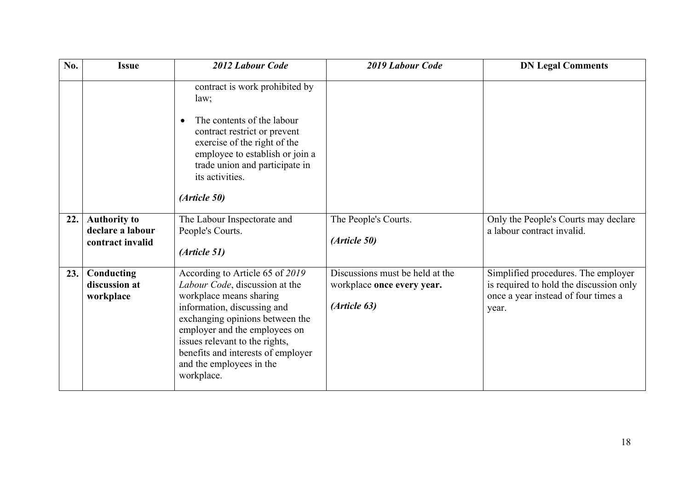| No. | <b>Issue</b>                                                | 2012 Labour Code                                                                                                                                                                                                                                                                                                  | 2019 Labour Code                                                              | <b>DN Legal Comments</b>                                                                                                       |
|-----|-------------------------------------------------------------|-------------------------------------------------------------------------------------------------------------------------------------------------------------------------------------------------------------------------------------------------------------------------------------------------------------------|-------------------------------------------------------------------------------|--------------------------------------------------------------------------------------------------------------------------------|
|     |                                                             | contract is work prohibited by<br>law;<br>The contents of the labour<br>$\bullet$<br>contract restrict or prevent<br>exercise of the right of the<br>employee to establish or join a<br>trade union and participate in<br>its activities.<br>(Article 50)                                                         |                                                                               |                                                                                                                                |
| 22. | <b>Authority to</b><br>declare a labour<br>contract invalid | The Labour Inspectorate and<br>People's Courts.<br>(Article 51)                                                                                                                                                                                                                                                   | The People's Courts.<br>(Article 50)                                          | Only the People's Courts may declare<br>a labour contract invalid.                                                             |
| 23. | Conducting<br>discussion at<br>workplace                    | According to Article 65 of 2019<br>Labour Code, discussion at the<br>workplace means sharing<br>information, discussing and<br>exchanging opinions between the<br>employer and the employees on<br>issues relevant to the rights,<br>benefits and interests of employer<br>and the employees in the<br>workplace. | Discussions must be held at the<br>workplace once every year.<br>(Article 63) | Simplified procedures. The employer<br>is required to hold the discussion only<br>once a year instead of four times a<br>year. |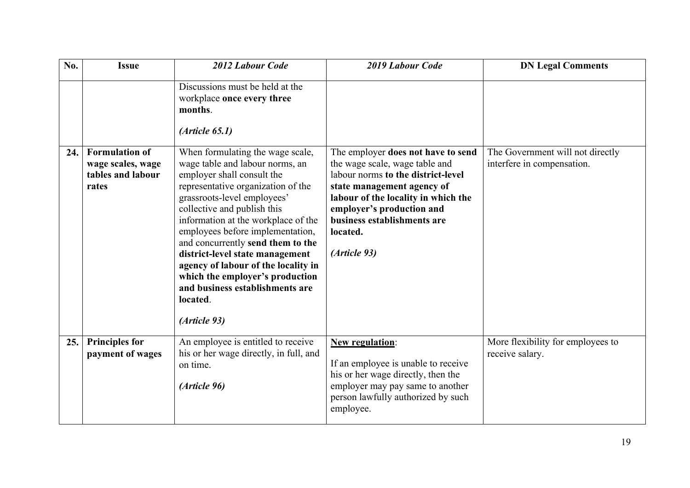| No. | <b>Issue</b>                                                             | 2012 Labour Code                                                                                                                                                                                                                                                                                                                                                                                                                                                                                  | 2019 Labour Code                                                                                                                                                                                                                                                        | <b>DN Legal Comments</b>                                       |
|-----|--------------------------------------------------------------------------|---------------------------------------------------------------------------------------------------------------------------------------------------------------------------------------------------------------------------------------------------------------------------------------------------------------------------------------------------------------------------------------------------------------------------------------------------------------------------------------------------|-------------------------------------------------------------------------------------------------------------------------------------------------------------------------------------------------------------------------------------------------------------------------|----------------------------------------------------------------|
|     |                                                                          | Discussions must be held at the<br>workplace once every three<br>months.<br>(Ariticle 65.1)                                                                                                                                                                                                                                                                                                                                                                                                       |                                                                                                                                                                                                                                                                         |                                                                |
| 24. | <b>Formulation of</b><br>wage scales, wage<br>tables and labour<br>rates | When formulating the wage scale,<br>wage table and labour norms, an<br>employer shall consult the<br>representative organization of the<br>grassroots-level employees'<br>collective and publish this<br>information at the workplace of the<br>employees before implementation,<br>and concurrently send them to the<br>district-level state management<br>agency of labour of the locality in<br>which the employer's production<br>and business establishments are<br>located.<br>(Article 93) | The employer does not have to send<br>the wage scale, wage table and<br>labour norms to the district-level<br>state management agency of<br>labour of the locality in which the<br>employer's production and<br>business establishments are<br>located.<br>(Article 93) | The Government will not directly<br>interfere in compensation. |
| 25. | <b>Principles for</b><br>payment of wages                                | An employee is entitled to receive<br>his or her wage directly, in full, and<br>on time.<br>(Article 96)                                                                                                                                                                                                                                                                                                                                                                                          | <b>New regulation:</b><br>If an employee is unable to receive<br>his or her wage directly, then the<br>employer may pay same to another<br>person lawfully authorized by such<br>employee.                                                                              | More flexibility for employees to<br>receive salary.           |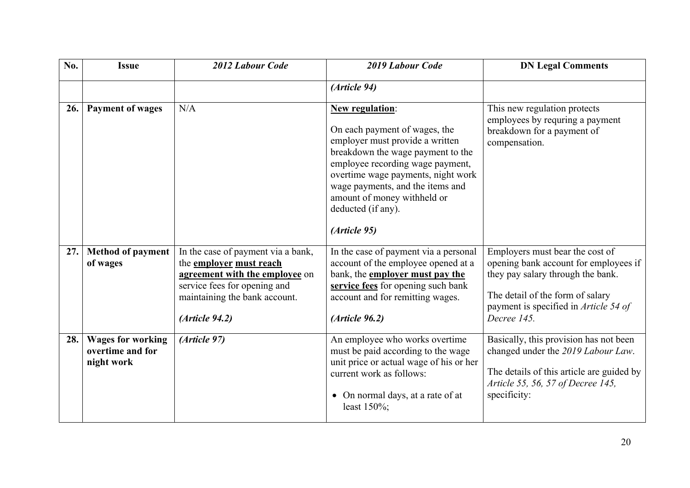| No. | <b>Issue</b>                                               | 2012 Labour Code                                                                                                                                                                           | 2019 Labour Code                                                                                                                                                                                                                                                                                                   | <b>DN Legal Comments</b>                                                                                                                                                                                  |
|-----|------------------------------------------------------------|--------------------------------------------------------------------------------------------------------------------------------------------------------------------------------------------|--------------------------------------------------------------------------------------------------------------------------------------------------------------------------------------------------------------------------------------------------------------------------------------------------------------------|-----------------------------------------------------------------------------------------------------------------------------------------------------------------------------------------------------------|
|     |                                                            |                                                                                                                                                                                            | (Article 94)                                                                                                                                                                                                                                                                                                       |                                                                                                                                                                                                           |
| 26. | <b>Payment of wages</b>                                    | N/A                                                                                                                                                                                        | <b>New regulation:</b><br>On each payment of wages, the<br>employer must provide a written<br>breakdown the wage payment to the<br>employee recording wage payment,<br>overtime wage payments, night work<br>wage payments, and the items and<br>amount of money withheld or<br>deducted (if any).<br>(Article 95) | This new regulation protects<br>employees by requring a payment<br>breakdown for a payment of<br>compensation.                                                                                            |
| 27. | <b>Method of payment</b><br>of wages                       | In the case of payment via a bank,<br>the <b>employer</b> must reach<br>agreement with the employee on<br>service fees for opening and<br>maintaining the bank account.<br>(Ariticle 94.2) | In the case of payment via a personal<br>account of the employee opened at a<br>bank, the <b>employer must pay the</b><br>service fees for opening such bank<br>account and for remitting wages.<br>(Ariticle 96.2)                                                                                                | Employers must bear the cost of<br>opening bank account for employees if<br>they pay salary through the bank.<br>The detail of the form of salary<br>payment is specified in Article 54 of<br>Decree 145. |
| 28. | <b>Wages for working</b><br>overtime and for<br>night work | (Article 97)                                                                                                                                                                               | An employee who works overtime<br>must be paid according to the wage<br>unit price or actual wage of his or her<br>current work as follows:<br>On normal days, at a rate of at<br>$\bullet$<br>least 150%;                                                                                                         | Basically, this provision has not been<br>changed under the 2019 Labour Law.<br>The details of this article are guided by<br>Article 55, 56, 57 of Decree 145,<br>specificity:                            |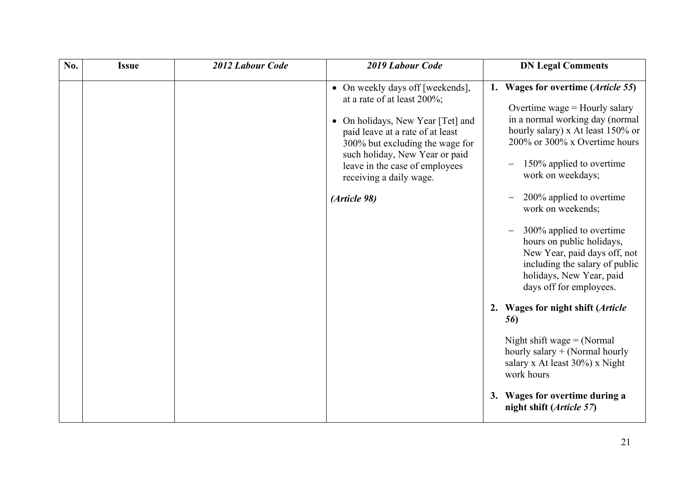| No. | <b>Issue</b> | 2012 Labour Code | 2019 Labour Code                                                                                                                                                                                                                                                                                      | <b>DN Legal Comments</b>                                                                                                                                                                                                                                                                                                                                                                                                                                                                                                                                                                                                                                                                                 |
|-----|--------------|------------------|-------------------------------------------------------------------------------------------------------------------------------------------------------------------------------------------------------------------------------------------------------------------------------------------------------|----------------------------------------------------------------------------------------------------------------------------------------------------------------------------------------------------------------------------------------------------------------------------------------------------------------------------------------------------------------------------------------------------------------------------------------------------------------------------------------------------------------------------------------------------------------------------------------------------------------------------------------------------------------------------------------------------------|
|     |              |                  | • On weekly days off [weekends],<br>at a rate of at least 200%;<br>On holidays, New Year [Tet] and<br>$\bullet$<br>paid leave at a rate of at least<br>300% but excluding the wage for<br>such holiday, New Year or paid<br>leave in the case of employees<br>receiving a daily wage.<br>(Article 98) | 1. Wages for overtime ( <i>Article</i> 55)<br>Overtime wage $=$ Hourly salary<br>in a normal working day (normal<br>hourly salary) x At least 150% or<br>200% or 300% x Overtime hours<br>150% applied to overtime<br>work on weekdays;<br>200% applied to overtime<br>work on weekends;<br>300% applied to overtime<br>hours on public holidays,<br>New Year, paid days off, not<br>including the salary of public<br>holidays, New Year, paid<br>days off for employees.<br>2. Wages for night shift (Article<br>56)<br>Night shift wage $=$ (Normal<br>hourly salary $+$ (Normal hourly<br>salary x At least 30%) x Night<br>work hours<br>3. Wages for overtime during a<br>night shift (Article 57) |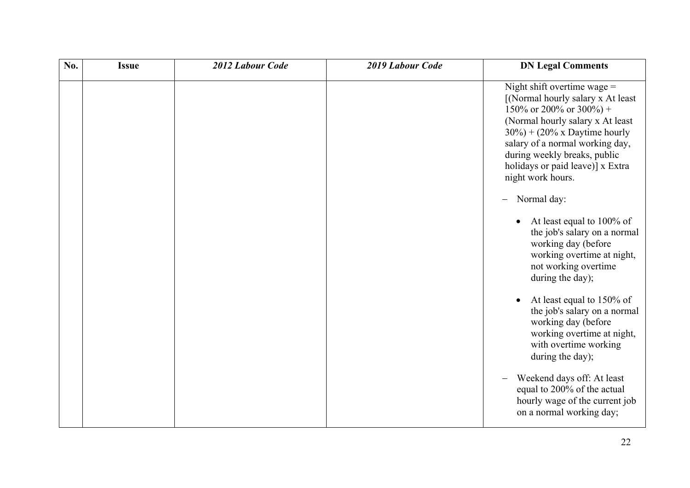| No. | <b>Issue</b> | 2012 Labour Code | 2019 Labour Code | <b>DN Legal Comments</b>                                                                                                                                                                                                                                                                                                                                                                                                                                                                                 |
|-----|--------------|------------------|------------------|----------------------------------------------------------------------------------------------------------------------------------------------------------------------------------------------------------------------------------------------------------------------------------------------------------------------------------------------------------------------------------------------------------------------------------------------------------------------------------------------------------|
|     |              |                  |                  | Night shift overtime wage $=$<br>[(Normal hourly salary x At least<br>150% or 200% or 300%) +<br>(Normal hourly salary x At least<br>$30\%$ + (20% x Daytime hourly<br>salary of a normal working day,<br>during weekly breaks, public<br>holidays or paid leave)] x Extra<br>night work hours.<br>Normal day:<br>$\overline{\phantom{0}}$<br>At least equal to 100% of<br>the job's salary on a normal<br>working day (before<br>working overtime at night,<br>not working overtime<br>during the day); |
|     |              |                  |                  | At least equal to 150% of<br>$\bullet$<br>the job's salary on a normal<br>working day (before<br>working overtime at night,<br>with overtime working<br>during the day);<br>Weekend days off: At least<br>equal to 200% of the actual<br>hourly wage of the current job<br>on a normal working day;                                                                                                                                                                                                      |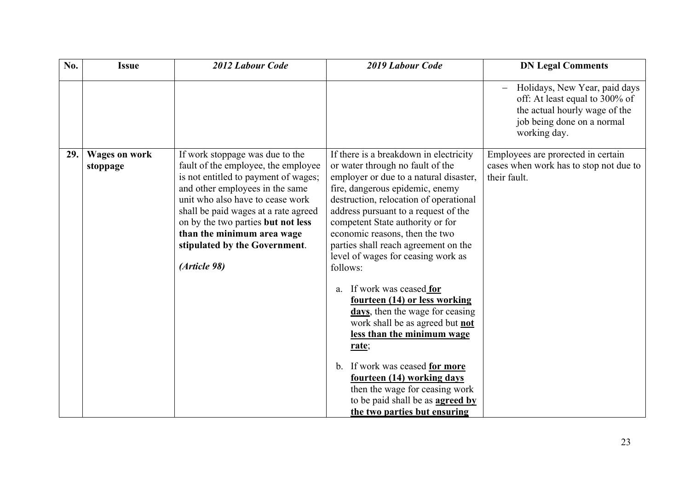| No. | <b>Issue</b>                     | 2012 Labour Code                                                                                                                                                                                                                                                                                                                                   | 2019 Labour Code                                                                                                                                                                                                                                                                                                                                                                                                                                                                                                                                                                                                                                                                                                                                                  | <b>DN Legal Comments</b>                                                                                                                       |
|-----|----------------------------------|----------------------------------------------------------------------------------------------------------------------------------------------------------------------------------------------------------------------------------------------------------------------------------------------------------------------------------------------------|-------------------------------------------------------------------------------------------------------------------------------------------------------------------------------------------------------------------------------------------------------------------------------------------------------------------------------------------------------------------------------------------------------------------------------------------------------------------------------------------------------------------------------------------------------------------------------------------------------------------------------------------------------------------------------------------------------------------------------------------------------------------|------------------------------------------------------------------------------------------------------------------------------------------------|
|     |                                  |                                                                                                                                                                                                                                                                                                                                                    |                                                                                                                                                                                                                                                                                                                                                                                                                                                                                                                                                                                                                                                                                                                                                                   | Holidays, New Year, paid days<br>off: At least equal to 300% of<br>the actual hourly wage of the<br>job being done on a normal<br>working day. |
| 29. | <b>Wages on work</b><br>stoppage | If work stoppage was due to the<br>fault of the employee, the employee<br>is not entitled to payment of wages;<br>and other employees in the same<br>unit who also have to cease work<br>shall be paid wages at a rate agreed<br>on by the two parties but not less<br>than the minimum area wage<br>stipulated by the Government.<br>(Article 98) | If there is a breakdown in electricity<br>or water through no fault of the<br>employer or due to a natural disaster,<br>fire, dangerous epidemic, enemy<br>destruction, relocation of operational<br>address pursuant to a request of the<br>competent State authority or for<br>economic reasons, then the two<br>parties shall reach agreement on the<br>level of wages for ceasing work as<br>follows:<br>a. If work was ceased for<br>fourteen (14) or less working<br>days, then the wage for ceasing<br>work shall be as agreed but not<br>less than the minimum wage<br>rate;<br>b. If work was ceased for more<br>fourteen (14) working days<br>then the wage for ceasing work<br>to be paid shall be as <b>agreed by</b><br>the two parties but ensuring | Employees are prorected in certain<br>cases when work has to stop not due to<br>their fault.                                                   |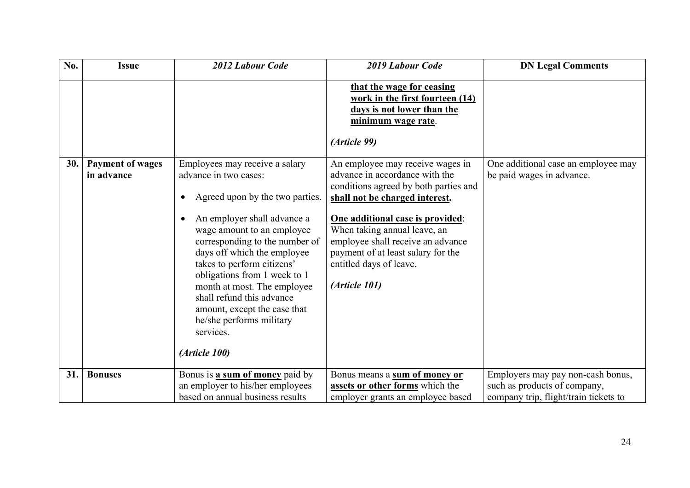| No. | <b>Issue</b>                          | 2012 Labour Code                                                                                                                                                                                                                                                                                                                                                                                                                             | 2019 Labour Code                                                                                                                                                                                                                                                                                                                         | <b>DN Legal Comments</b>                                          |
|-----|---------------------------------------|----------------------------------------------------------------------------------------------------------------------------------------------------------------------------------------------------------------------------------------------------------------------------------------------------------------------------------------------------------------------------------------------------------------------------------------------|------------------------------------------------------------------------------------------------------------------------------------------------------------------------------------------------------------------------------------------------------------------------------------------------------------------------------------------|-------------------------------------------------------------------|
|     |                                       |                                                                                                                                                                                                                                                                                                                                                                                                                                              | that the wage for ceasing<br>work in the first fourteen (14)<br>days is not lower than the<br>minimum wage rate.<br>(Article 99)                                                                                                                                                                                                         |                                                                   |
| 30. | <b>Payment of wages</b><br>in advance | Employees may receive a salary<br>advance in two cases:<br>Agreed upon by the two parties.<br>An employer shall advance a<br>wage amount to an employee<br>corresponding to the number of<br>days off which the employee<br>takes to perform citizens'<br>obligations from 1 week to 1<br>month at most. The employee<br>shall refund this advance<br>amount, except the case that<br>he/she performs military<br>services.<br>(Article 100) | An employee may receive wages in<br>advance in accordance with the<br>conditions agreed by both parties and<br>shall not be charged interest.<br>One additional case is provided:<br>When taking annual leave, an<br>employee shall receive an advance<br>payment of at least salary for the<br>entitled days of leave.<br>(Article 101) | One additional case an employee may<br>be paid wages in advance.  |
| 31. | <b>Bonuses</b>                        | Bonus is <b>a sum of money</b> paid by<br>an employer to his/her employees                                                                                                                                                                                                                                                                                                                                                                   | Bonus means a sum of money or<br>assets or other forms which the                                                                                                                                                                                                                                                                         | Employers may pay non-cash bonus,<br>such as products of company, |
|     |                                       | based on annual business results                                                                                                                                                                                                                                                                                                                                                                                                             | employer grants an employee based                                                                                                                                                                                                                                                                                                        | company trip, flight/train tickets to                             |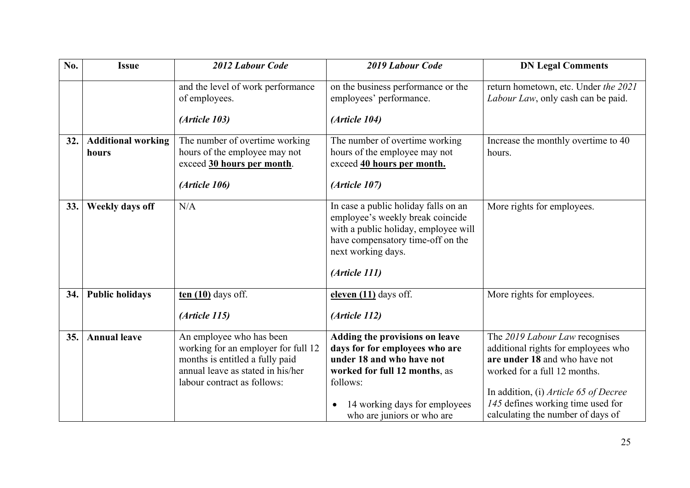| No. | <b>Issue</b>                       | 2012 Labour Code                                                                                                                                                       | 2019 Labour Code                                                                                                                                                                                          | <b>DN Legal Comments</b>                                                                                                                                                                                                                                  |
|-----|------------------------------------|------------------------------------------------------------------------------------------------------------------------------------------------------------------------|-----------------------------------------------------------------------------------------------------------------------------------------------------------------------------------------------------------|-----------------------------------------------------------------------------------------------------------------------------------------------------------------------------------------------------------------------------------------------------------|
|     |                                    | and the level of work performance<br>of employees.                                                                                                                     | on the business performance or the<br>employees' performance.                                                                                                                                             | return hometown, etc. Under the 2021<br>Labour Law, only cash can be paid.                                                                                                                                                                                |
|     |                                    | (Article 103)                                                                                                                                                          | (Article 104)                                                                                                                                                                                             |                                                                                                                                                                                                                                                           |
| 32. | <b>Additional working</b><br>hours | The number of overtime working<br>hours of the employee may not<br>exceed 30 hours per month.<br>(Article 106)                                                         | The number of overtime working<br>hours of the employee may not<br>exceed 40 hours per month.<br>(Article 107)                                                                                            | Increase the monthly overtime to 40<br>hours.                                                                                                                                                                                                             |
| 33. | Weekly days off                    | N/A                                                                                                                                                                    | In case a public holiday falls on an<br>employee's weekly break coincide<br>with a public holiday, employee will<br>have compensatory time-off on the<br>next working days.<br>(Article 111)              | More rights for employees.                                                                                                                                                                                                                                |
| 34. | <b>Public holidays</b>             | $t$ en $(10)$ days off.                                                                                                                                                | eleven (11) days off.                                                                                                                                                                                     | More rights for employees.                                                                                                                                                                                                                                |
|     |                                    | (Article 115)                                                                                                                                                          | (Article 112)                                                                                                                                                                                             |                                                                                                                                                                                                                                                           |
| 35. | <b>Annual leave</b>                | An employee who has been<br>working for an employer for full 12<br>months is entitled a fully paid<br>annual leave as stated in his/her<br>labour contract as follows: | Adding the provisions on leave<br>days for for employees who are<br>under 18 and who have not<br>worked for full 12 months, as<br>follows:<br>14 working days for employees<br>who are juniors or who are | The 2019 Labour Law recognises<br>additional rights for employees who<br>are under 18 and who have not<br>worked for a full 12 months.<br>In addition, (i) Article 65 of Decree<br>145 defines working time used for<br>calculating the number of days of |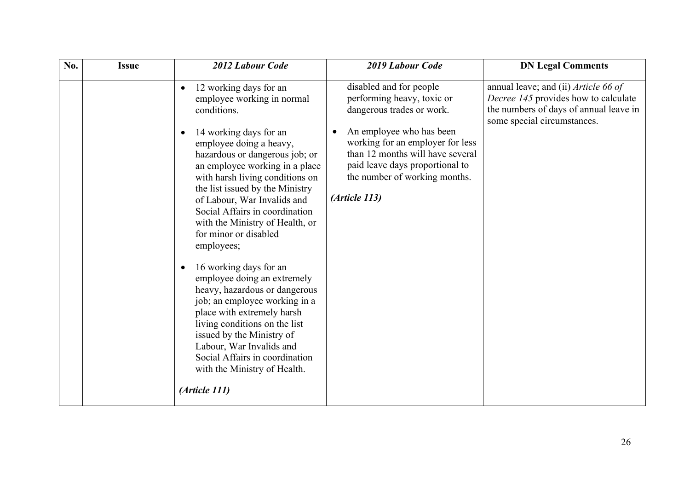| No. | <b>Issue</b> | 2012 Labour Code                                                                                                                                                                                                                                                                                                                                                                                                                                                                                                                                                                                                                                                                                                                                                 | 2019 Labour Code                                                                                                                                                                                                                                                               | <b>DN Legal Comments</b>                                                                                                                              |
|-----|--------------|------------------------------------------------------------------------------------------------------------------------------------------------------------------------------------------------------------------------------------------------------------------------------------------------------------------------------------------------------------------------------------------------------------------------------------------------------------------------------------------------------------------------------------------------------------------------------------------------------------------------------------------------------------------------------------------------------------------------------------------------------------------|--------------------------------------------------------------------------------------------------------------------------------------------------------------------------------------------------------------------------------------------------------------------------------|-------------------------------------------------------------------------------------------------------------------------------------------------------|
|     |              | 12 working days for an<br>$\bullet$<br>employee working in normal<br>conditions.<br>14 working days for an<br>employee doing a heavy,<br>hazardous or dangerous job; or<br>an employee working in a place<br>with harsh living conditions on<br>the list issued by the Ministry<br>of Labour, War Invalids and<br>Social Affairs in coordination<br>with the Ministry of Health, or<br>for minor or disabled<br>employees;<br>16 working days for an<br>employee doing an extremely<br>heavy, hazardous or dangerous<br>job; an employee working in a<br>place with extremely harsh<br>living conditions on the list<br>issued by the Ministry of<br>Labour, War Invalids and<br>Social Affairs in coordination<br>with the Ministry of Health.<br>(Article 111) | disabled and for people<br>performing heavy, toxic or<br>dangerous trades or work.<br>An employee who has been<br>working for an employer for less<br>than 12 months will have several<br>paid leave days proportional to<br>the number of working months.<br>$(Ar$ ticle 113) | annual leave; and (ii) Article 66 of<br>Decree 145 provides how to calculate<br>the numbers of days of annual leave in<br>some special circumstances. |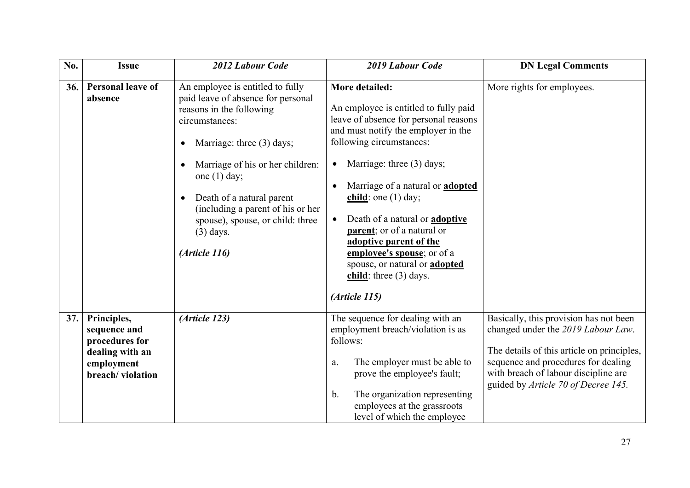| No. | <b>Issue</b>                                                                                       | 2012 Labour Code                                                                                                                                                                                                                                                                                                                                                        | 2019 Labour Code                                                                                                                                                                                                                                                                                                                                                                                                                                                                                      | <b>DN Legal Comments</b>                                                                                                                                                                                                                         |
|-----|----------------------------------------------------------------------------------------------------|-------------------------------------------------------------------------------------------------------------------------------------------------------------------------------------------------------------------------------------------------------------------------------------------------------------------------------------------------------------------------|-------------------------------------------------------------------------------------------------------------------------------------------------------------------------------------------------------------------------------------------------------------------------------------------------------------------------------------------------------------------------------------------------------------------------------------------------------------------------------------------------------|--------------------------------------------------------------------------------------------------------------------------------------------------------------------------------------------------------------------------------------------------|
| 36. | <b>Personal leave of</b><br>absence                                                                | An employee is entitled to fully<br>paid leave of absence for personal<br>reasons in the following<br>circumstances:<br>Marriage: three (3) days;<br>$\bullet$<br>Marriage of his or her children:<br>one $(1)$ day;<br>Death of a natural parent<br>$\bullet$<br>(including a parent of his or her<br>spouse), spouse, or child: three<br>$(3)$ days.<br>(Article 116) | More detailed:<br>An employee is entitled to fully paid<br>leave of absence for personal reasons<br>and must notify the employer in the<br>following circumstances:<br>Marriage: three (3) days;<br>$\bullet$<br>Marriage of a natural or <b>adopted</b><br>child: one $(1)$ day;<br>Death of a natural or <b>adoptive</b><br>parent; or of a natural or<br>adoptive parent of the<br>employee's spouse; or of a<br>spouse, or natural or <b>adopted</b><br>child: three $(3)$ days.<br>(Article 115) | More rights for employees.                                                                                                                                                                                                                       |
| 37. | Principles,<br>sequence and<br>procedures for<br>dealing with an<br>employment<br>breach/violation | (Article 123)                                                                                                                                                                                                                                                                                                                                                           | The sequence for dealing with an<br>employment breach/violation is as<br>follows:<br>The employer must be able to<br>a.<br>prove the employee's fault;<br>The organization representing<br>b.<br>employees at the grassroots<br>level of which the employee                                                                                                                                                                                                                                           | Basically, this provision has not been<br>changed under the 2019 Labour Law.<br>The details of this article on principles,<br>sequence and procedures for dealing<br>with breach of labour discipline are<br>guided by Article 70 of Decree 145. |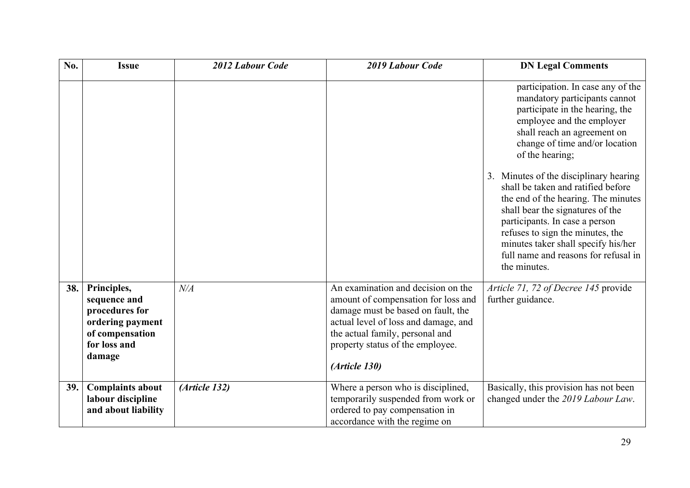| No. | <b>Issue</b>                                                                                                   | 2012 Labour Code | 2019 Labour Code                                                                                                                                                                                                                                | <b>DN Legal Comments</b>                                                                                                                                                                                                                                                                                                                                                                                                                                                                                                                               |
|-----|----------------------------------------------------------------------------------------------------------------|------------------|-------------------------------------------------------------------------------------------------------------------------------------------------------------------------------------------------------------------------------------------------|--------------------------------------------------------------------------------------------------------------------------------------------------------------------------------------------------------------------------------------------------------------------------------------------------------------------------------------------------------------------------------------------------------------------------------------------------------------------------------------------------------------------------------------------------------|
|     |                                                                                                                |                  |                                                                                                                                                                                                                                                 | participation. In case any of the<br>mandatory participants cannot<br>participate in the hearing, the<br>employee and the employer<br>shall reach an agreement on<br>change of time and/or location<br>of the hearing;<br>3. Minutes of the disciplinary hearing<br>shall be taken and ratified before<br>the end of the hearing. The minutes<br>shall bear the signatures of the<br>participants. In case a person<br>refuses to sign the minutes, the<br>minutes taker shall specify his/her<br>full name and reasons for refusal in<br>the minutes. |
| 38. | Principles,<br>sequence and<br>procedures for<br>ordering payment<br>of compensation<br>for loss and<br>damage | N/A              | An examination and decision on the<br>amount of compensation for loss and<br>damage must be based on fault, the<br>actual level of loss and damage, and<br>the actual family, personal and<br>property status of the employee.<br>(Article 130) | Article 71, 72 of Decree 145 provide<br>further guidance.                                                                                                                                                                                                                                                                                                                                                                                                                                                                                              |
| 39. | <b>Complaints about</b><br>labour discipline<br>and about liability                                            | (Article 132)    | Where a person who is disciplined,<br>temporarily suspended from work or<br>ordered to pay compensation in<br>accordance with the regime on                                                                                                     | Basically, this provision has not been<br>changed under the 2019 Labour Law.                                                                                                                                                                                                                                                                                                                                                                                                                                                                           |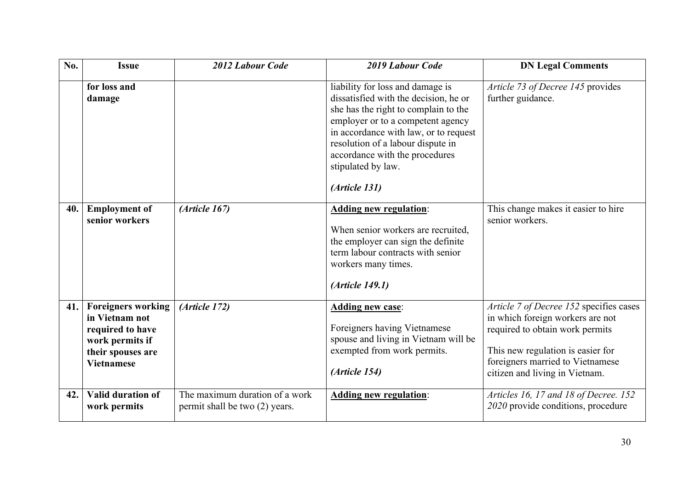| No. | <b>Issue</b>                                                                                                                 | 2012 Labour Code                                                 | 2019 Labour Code                                                                                                                                                                                                                                                                                              | <b>DN Legal Comments</b>                                                                                                                                                                                                  |
|-----|------------------------------------------------------------------------------------------------------------------------------|------------------------------------------------------------------|---------------------------------------------------------------------------------------------------------------------------------------------------------------------------------------------------------------------------------------------------------------------------------------------------------------|---------------------------------------------------------------------------------------------------------------------------------------------------------------------------------------------------------------------------|
|     | for loss and<br>damage                                                                                                       |                                                                  | liability for loss and damage is<br>dissatisfied with the decision, he or<br>she has the right to complain to the<br>employer or to a competent agency<br>in accordance with law, or to request<br>resolution of a labour dispute in<br>accordance with the procedures<br>stipulated by law.<br>(Article 131) | Article 73 of Decree 145 provides<br>further guidance.                                                                                                                                                                    |
| 40. | <b>Employment of</b><br>senior workers                                                                                       | (Ariticle 167)                                                   | <b>Adding new regulation:</b><br>When senior workers are recruited,<br>the employer can sign the definite<br>term labour contracts with senior<br>workers many times.<br>(Article 149.1)                                                                                                                      | This change makes it easier to hire<br>senior workers.                                                                                                                                                                    |
| 41. | <b>Foreigners working</b><br>in Vietnam not<br>required to have<br>work permits if<br>their spouses are<br><b>Vietnamese</b> | (Article 172)                                                    | <b>Adding new case:</b><br>Foreigners having Vietnamese<br>spouse and living in Vietnam will be<br>exempted from work permits.<br>(Article 154)                                                                                                                                                               | Article 7 of Decree 152 specifies cases<br>in which foreign workers are not<br>required to obtain work permits<br>This new regulation is easier for<br>foreigners married to Vietnamese<br>citizen and living in Vietnam. |
| 42. | Valid duration of<br>work permits                                                                                            | The maximum duration of a work<br>permit shall be two (2) years. | <b>Adding new regulation:</b>                                                                                                                                                                                                                                                                                 | Articles 16, 17 and 18 of Decree. 152<br>2020 provide conditions, procedure                                                                                                                                               |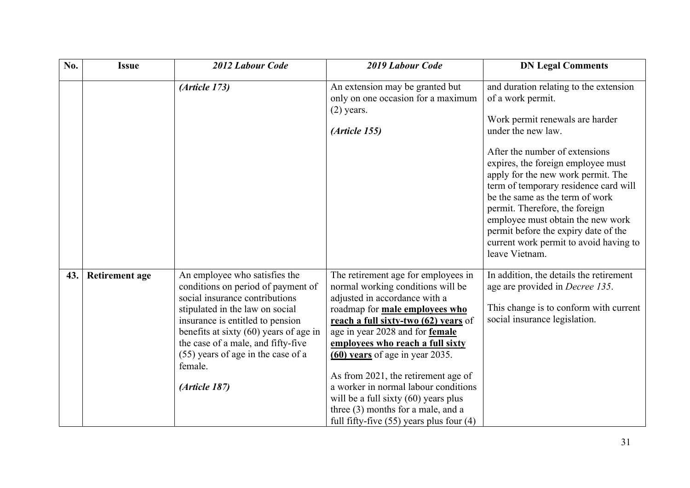| No. | <b>Issue</b>          | 2012 Labour Code                                                                                                                                                                                                                                                                                                                 | 2019 Labour Code                                                                                                                                                                                                                                                                                                                                                                                                                                                                                                      | <b>DN Legal Comments</b>                                                                                                                                                                                                                                                                                                                                                                                                                                                                  |
|-----|-----------------------|----------------------------------------------------------------------------------------------------------------------------------------------------------------------------------------------------------------------------------------------------------------------------------------------------------------------------------|-----------------------------------------------------------------------------------------------------------------------------------------------------------------------------------------------------------------------------------------------------------------------------------------------------------------------------------------------------------------------------------------------------------------------------------------------------------------------------------------------------------------------|-------------------------------------------------------------------------------------------------------------------------------------------------------------------------------------------------------------------------------------------------------------------------------------------------------------------------------------------------------------------------------------------------------------------------------------------------------------------------------------------|
|     |                       | (Article 173)                                                                                                                                                                                                                                                                                                                    | An extension may be granted but<br>only on one occasion for a maximum<br>$(2)$ years.<br>(Article 155)                                                                                                                                                                                                                                                                                                                                                                                                                | and duration relating to the extension<br>of a work permit.<br>Work permit renewals are harder<br>under the new law.<br>After the number of extensions<br>expires, the foreign employee must<br>apply for the new work permit. The<br>term of temporary residence card will<br>be the same as the term of work<br>permit. Therefore, the foreign<br>employee must obtain the new work<br>permit before the expiry date of the<br>current work permit to avoid having to<br>leave Vietnam. |
| 43. | <b>Retirement age</b> | An employee who satisfies the<br>conditions on period of payment of<br>social insurance contributions<br>stipulated in the law on social<br>insurance is entitled to pension<br>benefits at sixty $(60)$ years of age in<br>the case of a male, and fifty-five<br>(55) years of age in the case of a<br>female.<br>(Article 187) | The retirement age for employees in<br>normal working conditions will be<br>adjusted in accordance with a<br>roadmap for <b>male employees who</b><br>reach a full sixty-two (62) years of<br>age in year 2028 and for female<br>employees who reach a full sixty<br>$(60)$ years of age in year 2035.<br>As from 2021, the retirement age of<br>a worker in normal labour conditions<br>will be a full sixty $(60)$ years plus<br>three (3) months for a male, and a<br>full fifty-five $(55)$ years plus four $(4)$ | In addition, the details the retirement<br>age are provided in <i>Decree 135</i> .<br>This change is to conform with current<br>social insurance legislation.                                                                                                                                                                                                                                                                                                                             |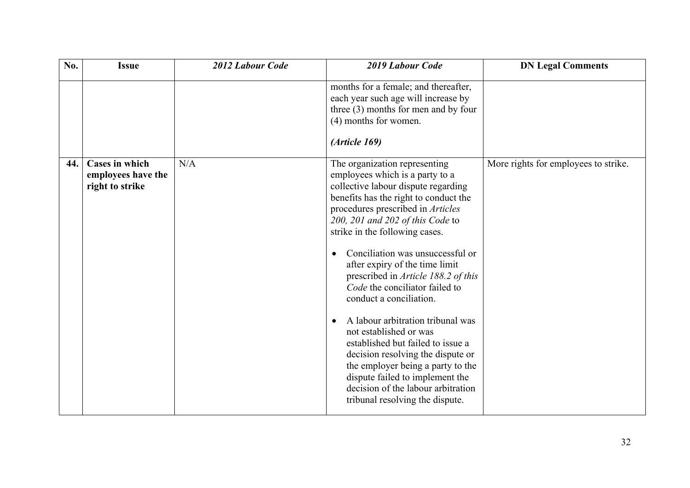| No. | <b>Issue</b>                                                   | 2012 Labour Code | 2019 Labour Code                                                                                                                                                                                                                                                                                                                                                                                                                                                                                                                                                                                                                                                                                                                | <b>DN Legal Comments</b>             |
|-----|----------------------------------------------------------------|------------------|---------------------------------------------------------------------------------------------------------------------------------------------------------------------------------------------------------------------------------------------------------------------------------------------------------------------------------------------------------------------------------------------------------------------------------------------------------------------------------------------------------------------------------------------------------------------------------------------------------------------------------------------------------------------------------------------------------------------------------|--------------------------------------|
|     |                                                                |                  | months for a female; and thereafter,<br>each year such age will increase by<br>three $(3)$ months for men and by four<br>(4) months for women.<br>(Article 169)                                                                                                                                                                                                                                                                                                                                                                                                                                                                                                                                                                 |                                      |
| 44. | <b>Cases in which</b><br>employees have the<br>right to strike | N/A              | The organization representing<br>employees which is a party to a<br>collective labour dispute regarding<br>benefits has the right to conduct the<br>procedures prescribed in Articles<br>200, 201 and 202 of this Code to<br>strike in the following cases.<br>Conciliation was unsuccessful or<br>after expiry of the time limit<br>prescribed in Article 188.2 of this<br>Code the conciliator failed to<br>conduct a conciliation.<br>A labour arbitration tribunal was<br>not established or was<br>established but failed to issue a<br>decision resolving the dispute or<br>the employer being a party to the<br>dispute failed to implement the<br>decision of the labour arbitration<br>tribunal resolving the dispute. | More rights for employees to strike. |